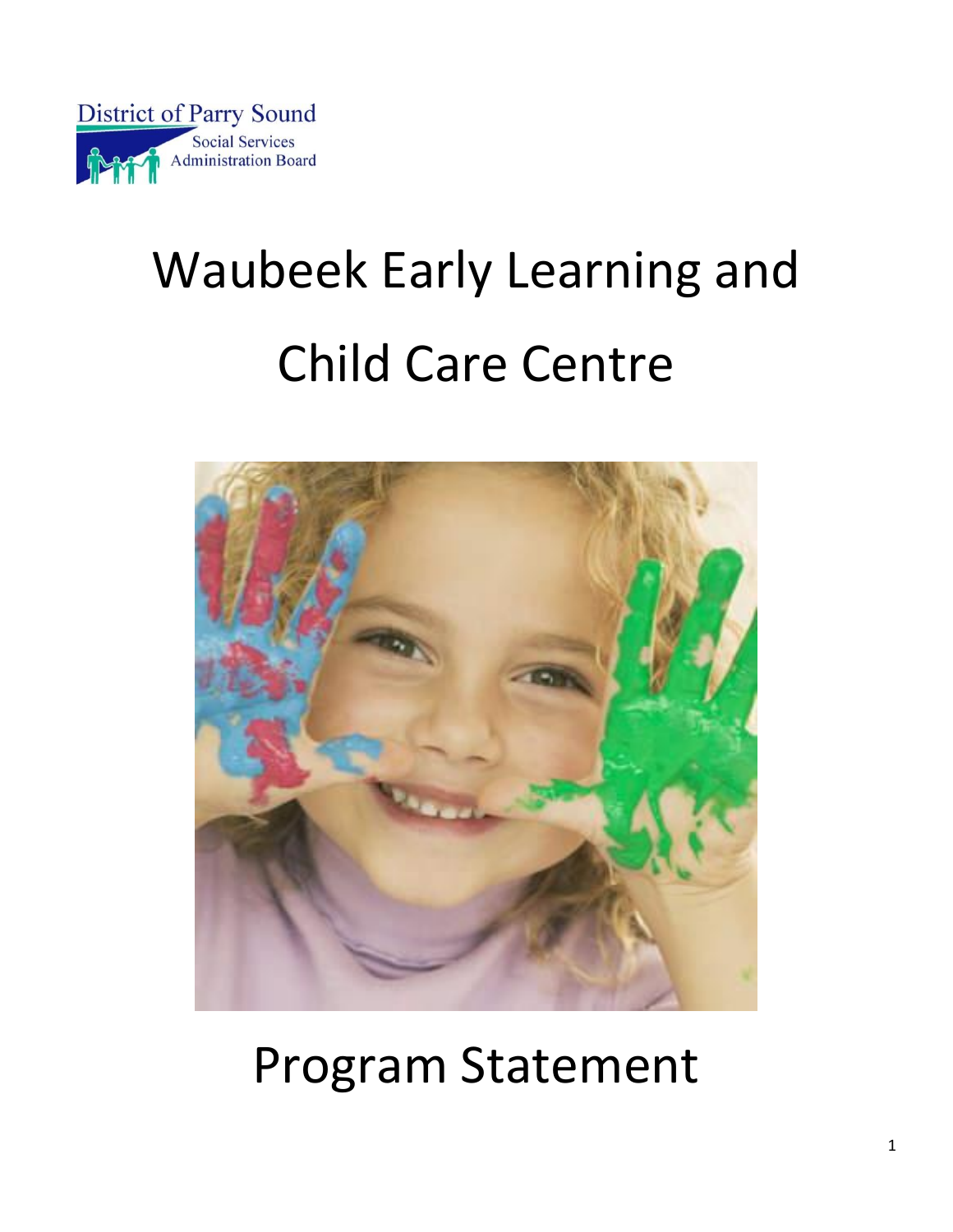

# Waubeek Early Learning and Child Care Centre



## Program Statement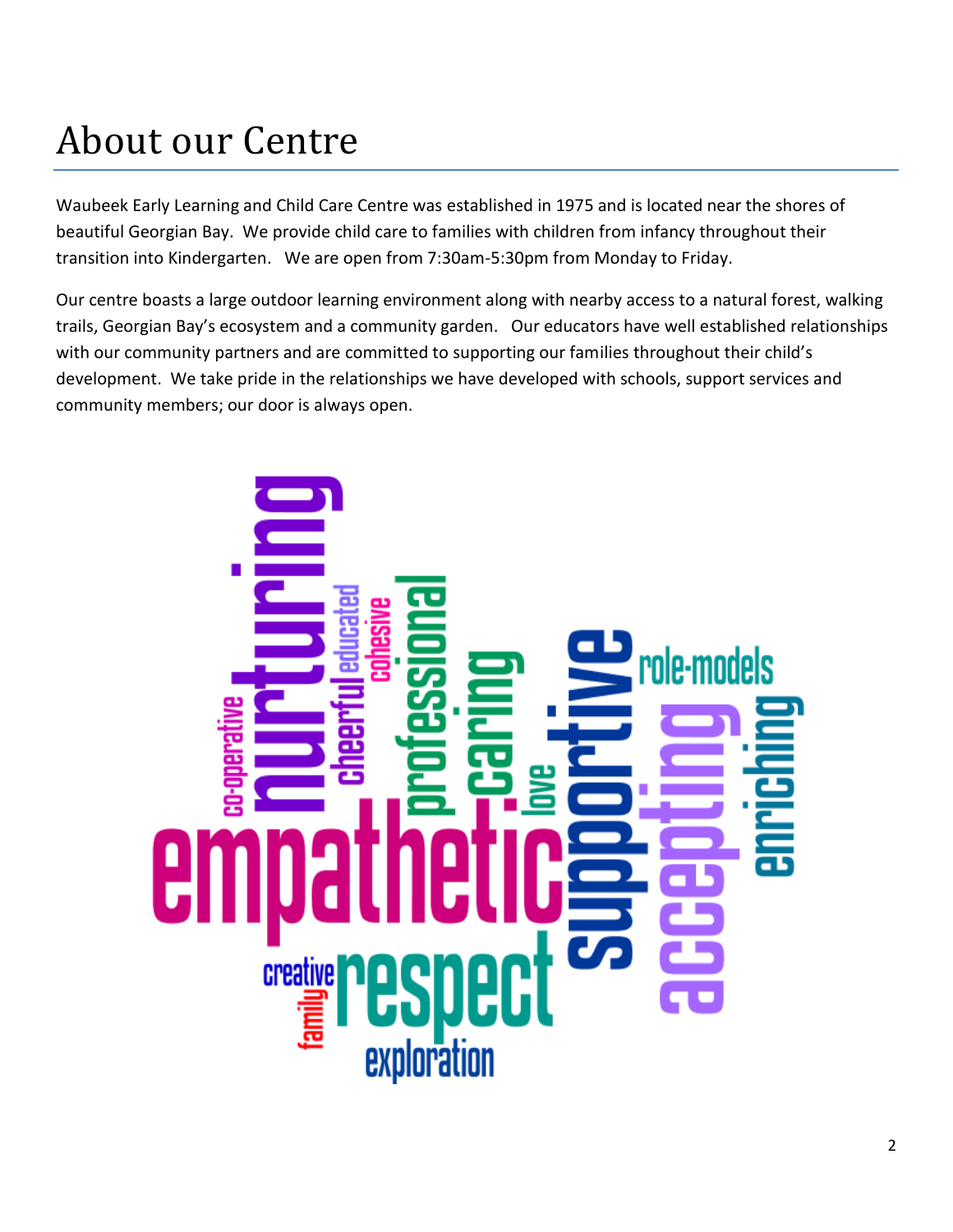### About our Centre

Waubeek Early Learning and Child Care Centre was established in 1975 and is located near the shores of beautiful Georgian Bay. We provide child care to families with children from infancy throughout their transition into Kindergarten. We are open from 7:30am-5:30pm from Monday to Friday.

Our centre boasts a large outdoor learning environment along with nearby access to a natural forest, walking trails, Georgian Bay's ecosystem and a community garden. Our educators have well established relationships with our community partners and are committed to supporting our families throughout their child's development. We take pride in the relationships we have developed with schools, support services and community members; our door is always open.

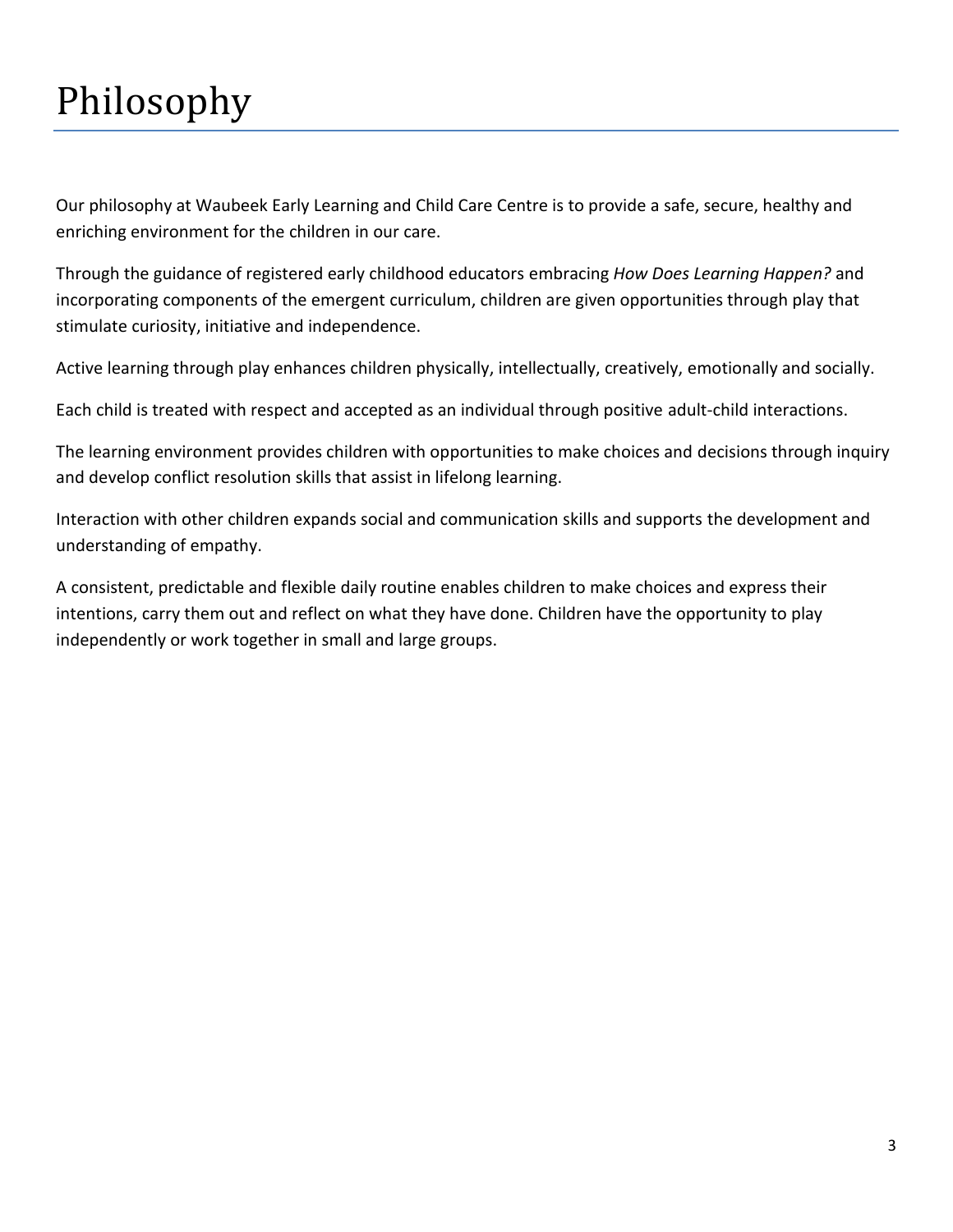### Philosophy

Our philosophy at Waubeek Early Learning and Child Care Centre is to provide a safe, secure, healthy and enriching environment for the children in our care.

Through the guidance of registered early childhood educators embracing *How Does Learning Happen?* and incorporating components of the emergent curriculum, children are given opportunities through play that stimulate curiosity, initiative and independence.

Active learning through play enhances children physically, intellectually, creatively, emotionally and socially.

Each child is treated with respect and accepted as an individual through positive adult-child interactions.

The learning environment provides children with opportunities to make choices and decisions through inquiry and develop conflict resolution skills that assist in lifelong learning.

Interaction with other children expands social and communication skills and supports the development and understanding of empathy.

A consistent, predictable and flexible daily routine enables children to make choices and express their intentions, carry them out and reflect on what they have done. Children have the opportunity to play independently or work together in small and large groups.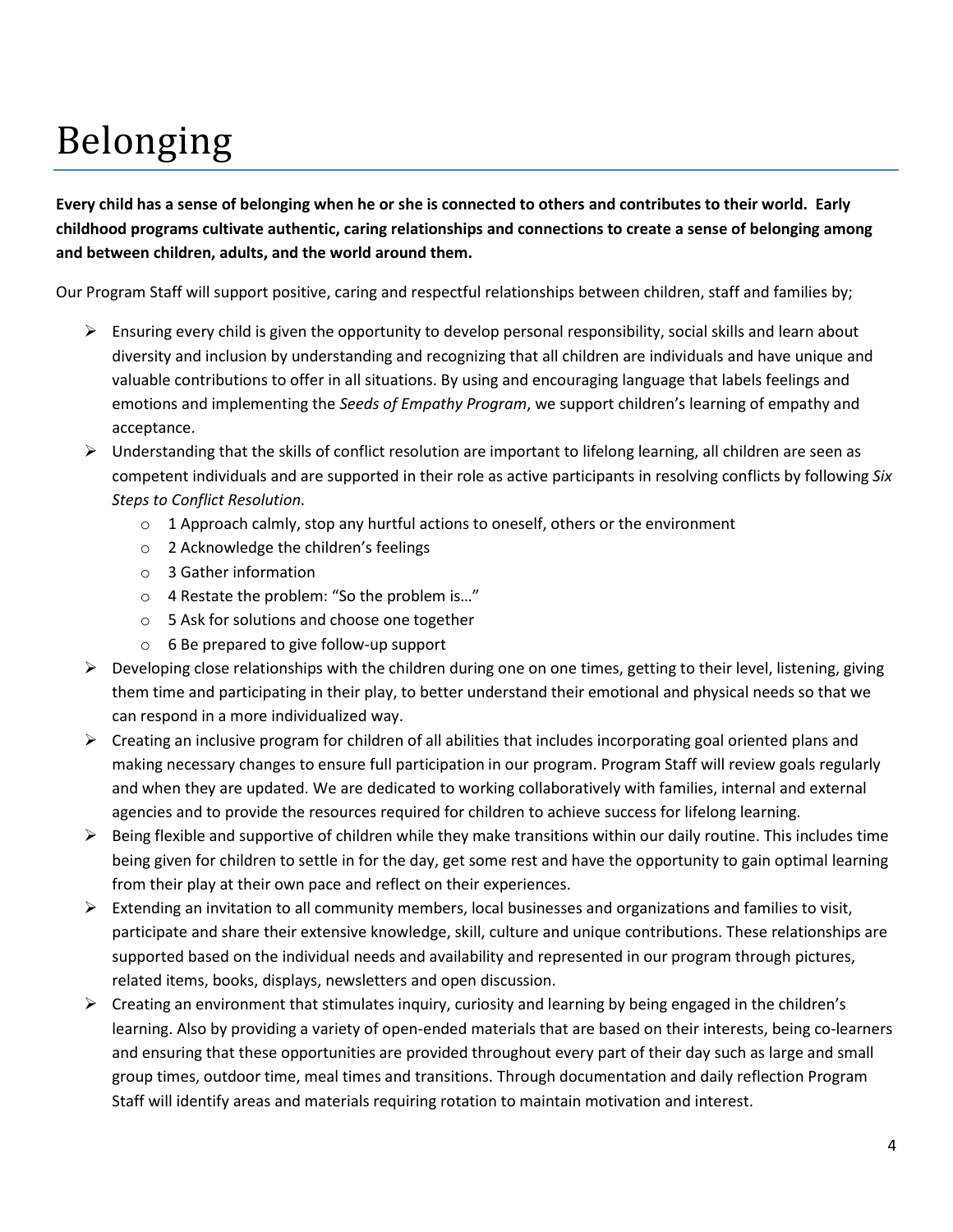### Belonging

**Every child has a sense of belonging when he or she is connected to others and contributes to their world. Early childhood programs cultivate authentic, caring relationships and connections to create a sense of belonging among and between children, adults, and the world around them.**

Our Program Staff will support positive, caring and respectful relationships between children, staff and families by;

- $\triangleright$  Ensuring every child is given the opportunity to develop personal responsibility, social skills and learn about diversity and inclusion by understanding and recognizing that all children are individuals and have unique and valuable contributions to offer in all situations. By using and encouraging language that labels feelings and emotions and implementing the *Seeds of Empathy Program*, we support children's learning of empathy and acceptance.
- $\triangleright$  Understanding that the skills of conflict resolution are important to lifelong learning, all children are seen as competent individuals and are supported in their role as active participants in resolving conflicts by following *Six Steps to Conflict Resolution*.
	- $\circ$  1 Approach calmly, stop any hurtful actions to oneself, others or the environment
	- o 2 Acknowledge the children's feelings
	- o 3 Gather information
	- o 4 Restate the problem: "So the problem is…"
	- o 5 Ask for solutions and choose one together
	- o 6 Be prepared to give follow-up support
- $\triangleright$  Developing close relationships with the children during one on one times, getting to their level, listening, giving them time and participating in their play, to better understand their emotional and physical needs so that we can respond in a more individualized way.
- $\triangleright$  Creating an inclusive program for children of all abilities that includes incorporating goal oriented plans and making necessary changes to ensure full participation in our program. Program Staff will review goals regularly and when they are updated. We are dedicated to working collaboratively with families, internal and external agencies and to provide the resources required for children to achieve success for lifelong learning.
- $\triangleright$  Being flexible and supportive of children while they make transitions within our daily routine. This includes time being given for children to settle in for the day, get some rest and have the opportunity to gain optimal learning from their play at their own pace and reflect on their experiences.
- $\triangleright$  Extending an invitation to all community members, local businesses and organizations and families to visit, participate and share their extensive knowledge, skill, culture and unique contributions. These relationships are supported based on the individual needs and availability and represented in our program through pictures, related items, books, displays, newsletters and open discussion.
- $\triangleright$  Creating an environment that stimulates inquiry, curiosity and learning by being engaged in the children's learning. Also by providing a variety of open-ended materials that are based on their interests, being co-learners and ensuring that these opportunities are provided throughout every part of their day such as large and small group times, outdoor time, meal times and transitions. Through documentation and daily reflection Program Staff will identify areas and materials requiring rotation to maintain motivation and interest.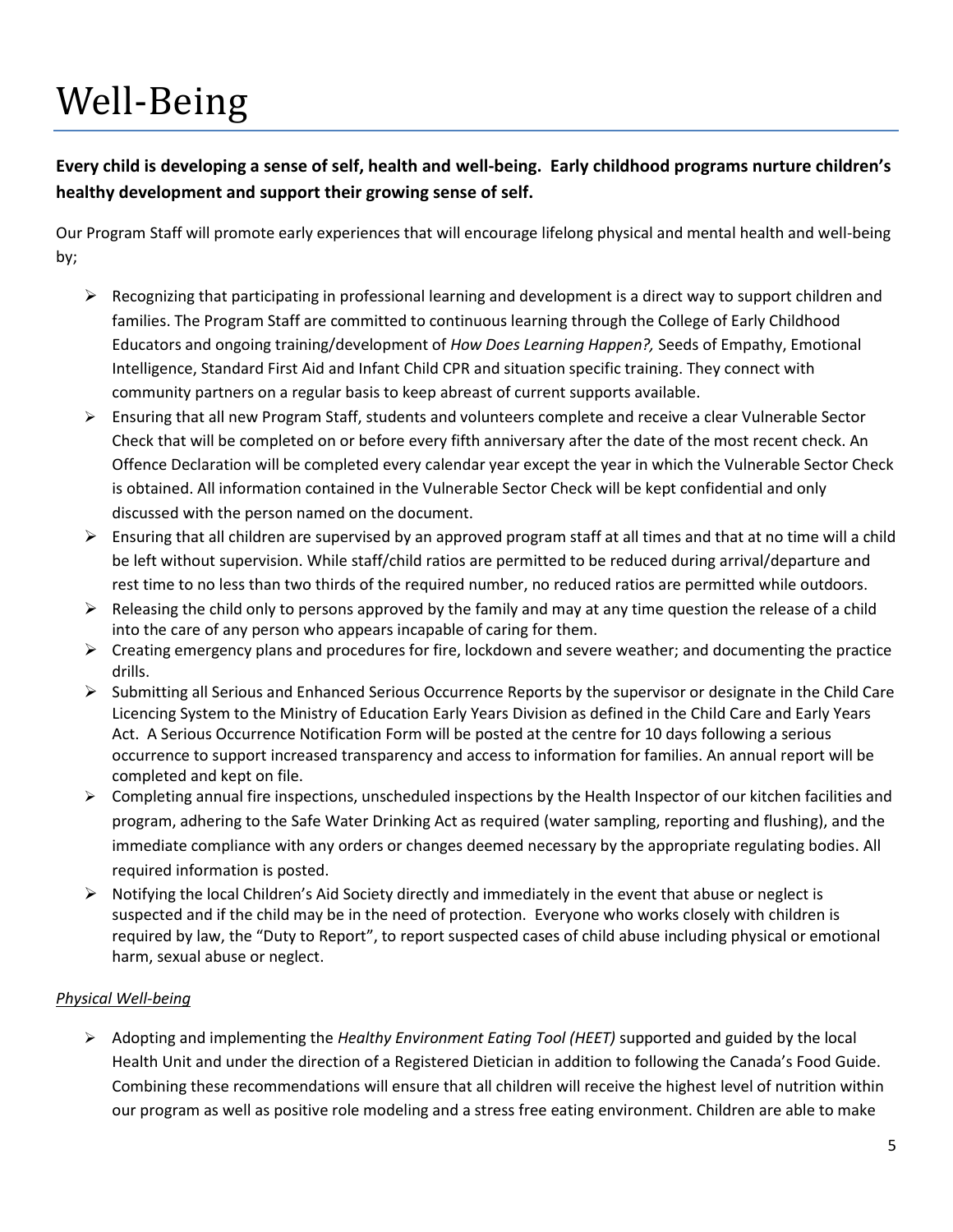### Well-Being

**Every child is developing a sense of self, health and well-being. Early childhood programs nurture children's healthy development and support their growing sense of self.**

Our Program Staff will promote early experiences that will encourage lifelong physical and mental health and well-being by;

- $\triangleright$  Recognizing that participating in professional learning and development is a direct way to support children and families. The Program Staff are committed to continuous learning through the College of Early Childhood Educators and ongoing training/development of *How Does Learning Happen?,* Seeds of Empathy, Emotional Intelligence, Standard First Aid and Infant Child CPR and situation specific training. They connect with community partners on a regular basis to keep abreast of current supports available.
- Ensuring that all new Program Staff, students and volunteers complete and receive a clear Vulnerable Sector Check that will be completed on or before every fifth anniversary after the date of the most recent check. An Offence Declaration will be completed every calendar year except the year in which the Vulnerable Sector Check is obtained. All information contained in the Vulnerable Sector Check will be kept confidential and only discussed with the person named on the document.
- $\triangleright$  Ensuring that all children are supervised by an approved program staff at all times and that at no time will a child be left without supervision. While staff/child ratios are permitted to be reduced during arrival/departure and rest time to no less than two thirds of the required number, no reduced ratios are permitted while outdoors.
- $\triangleright$  Releasing the child only to persons approved by the family and may at any time question the release of a child into the care of any person who appears incapable of caring for them.
- $\triangleright$  Creating emergency plans and procedures for fire, lockdown and severe weather; and documenting the practice drills.
- $\triangleright$  Submitting all Serious and Enhanced Serious Occurrence Reports by the supervisor or designate in the Child Care Licencing System to the Ministry of Education Early Years Division as defined in the Child Care and Early Years Act. A Serious Occurrence Notification Form will be posted at the centre for 10 days following a serious occurrence to support increased transparency and access to information for families. An annual report will be completed and kept on file.
- $\triangleright$  Completing annual fire inspections, unscheduled inspections by the Health Inspector of our kitchen facilities and program, adhering to the Safe Water Drinking Act as required (water sampling, reporting and flushing), and the immediate compliance with any orders or changes deemed necessary by the appropriate regulating bodies. All required information is posted.
- $\triangleright$  Notifying the local Children's Aid Society directly and immediately in the event that abuse or neglect is suspected and if the child may be in the need of protection. Everyone who works closely with children is required by law, the "Duty to Report", to report suspected cases of child abuse including physical or emotional harm, sexual abuse or neglect.

#### *Physical Well-being*

 Adopting and implementing the *Healthy Environment Eating Tool (HEET)* supported and guided by the local Health Unit and under the direction of a Registered Dietician in addition to following the Canada's Food Guide. Combining these recommendations will ensure that all children will receive the highest level of nutrition within our program as well as positive role modeling and a stress free eating environment. Children are able to make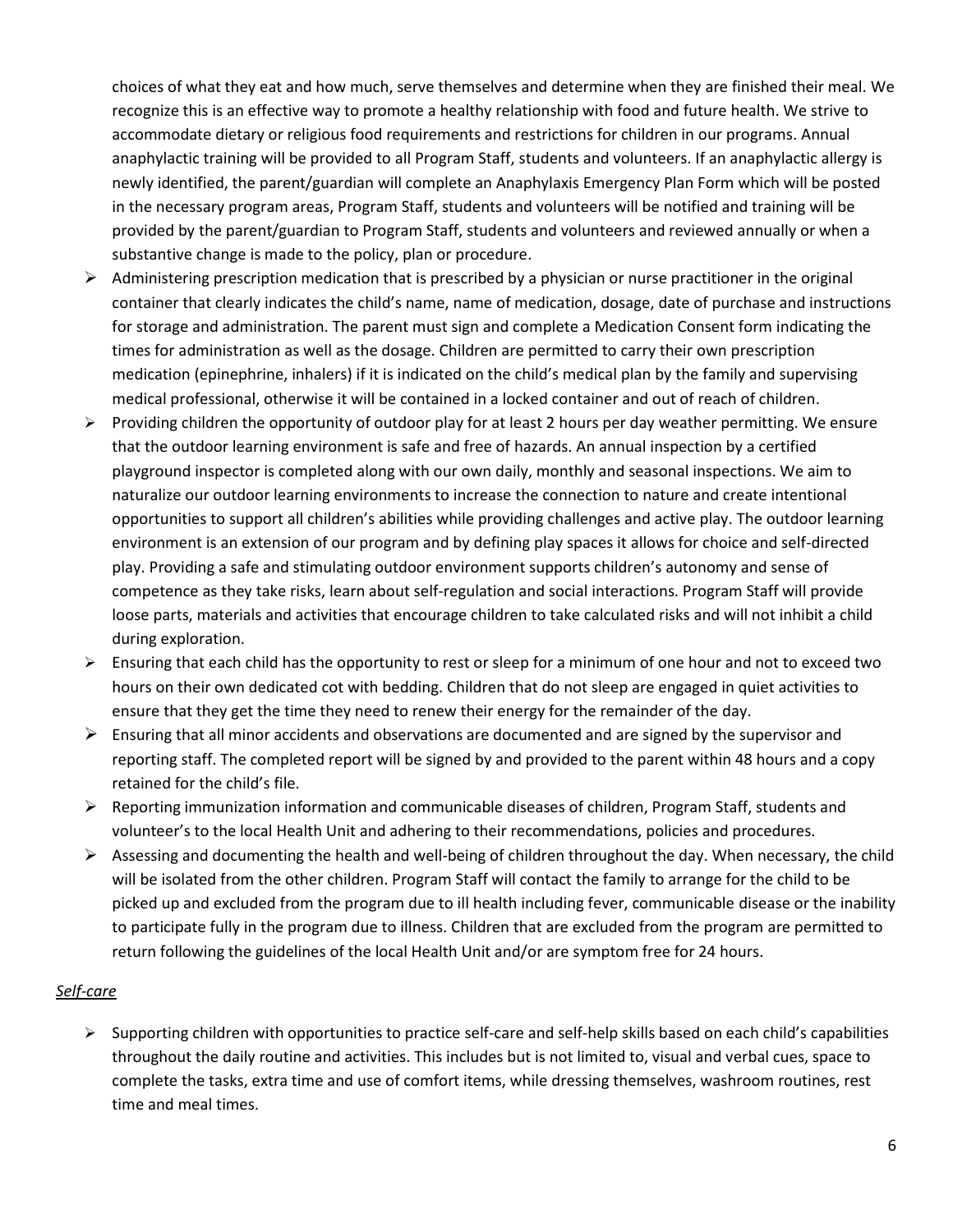choices of what they eat and how much, serve themselves and determine when they are finished their meal. We recognize this is an effective way to promote a healthy relationship with food and future health. We strive to accommodate dietary or religious food requirements and restrictions for children in our programs. Annual anaphylactic training will be provided to all Program Staff, students and volunteers. If an anaphylactic allergy is newly identified, the parent/guardian will complete an Anaphylaxis Emergency Plan Form which will be posted in the necessary program areas, Program Staff, students and volunteers will be notified and training will be provided by the parent/guardian to Program Staff, students and volunteers and reviewed annually or when a substantive change is made to the policy, plan or procedure.

- $\triangleright$  Administering prescription medication that is prescribed by a physician or nurse practitioner in the original container that clearly indicates the child's name, name of medication, dosage, date of purchase and instructions for storage and administration. The parent must sign and complete a Medication Consent form indicating the times for administration as well as the dosage. Children are permitted to carry their own prescription medication (epinephrine, inhalers) if it is indicated on the child's medical plan by the family and supervising medical professional, otherwise it will be contained in a locked container and out of reach of children.
- $\triangleright$  Providing children the opportunity of outdoor play for at least 2 hours per day weather permitting. We ensure that the outdoor learning environment is safe and free of hazards. An annual inspection by a certified playground inspector is completed along with our own daily, monthly and seasonal inspections. We aim to naturalize our outdoor learning environments to increase the connection to nature and create intentional opportunities to support all children's abilities while providing challenges and active play. The outdoor learning environment is an extension of our program and by defining play spaces it allows for choice and self-directed play. Providing a safe and stimulating outdoor environment supports children's autonomy and sense of competence as they take risks, learn about self-regulation and social interactions. Program Staff will provide loose parts, materials and activities that encourage children to take calculated risks and will not inhibit a child during exploration.
- $\triangleright$  Ensuring that each child has the opportunity to rest or sleep for a minimum of one hour and not to exceed two hours on their own dedicated cot with bedding. Children that do not sleep are engaged in quiet activities to ensure that they get the time they need to renew their energy for the remainder of the day.
- $\triangleright$  Ensuring that all minor accidents and observations are documented and are signed by the supervisor and reporting staff. The completed report will be signed by and provided to the parent within 48 hours and a copy retained for the child's file.
- $\triangleright$  Reporting immunization information and communicable diseases of children, Program Staff, students and volunteer's to the local Health Unit and adhering to their recommendations, policies and procedures.
- Assessing and documenting the health and well-being of children throughout the day. When necessary, the child will be isolated from the other children. Program Staff will contact the family to arrange for the child to be picked up and excluded from the program due to ill health including fever, communicable disease or the inability to participate fully in the program due to illness. Children that are excluded from the program are permitted to return following the guidelines of the local Health Unit and/or are symptom free for 24 hours.

#### *Self-care*

 $\triangleright$  Supporting children with opportunities to practice self-care and self-help skills based on each child's capabilities throughout the daily routine and activities. This includes but is not limited to, visual and verbal cues, space to complete the tasks, extra time and use of comfort items, while dressing themselves, washroom routines, rest time and meal times.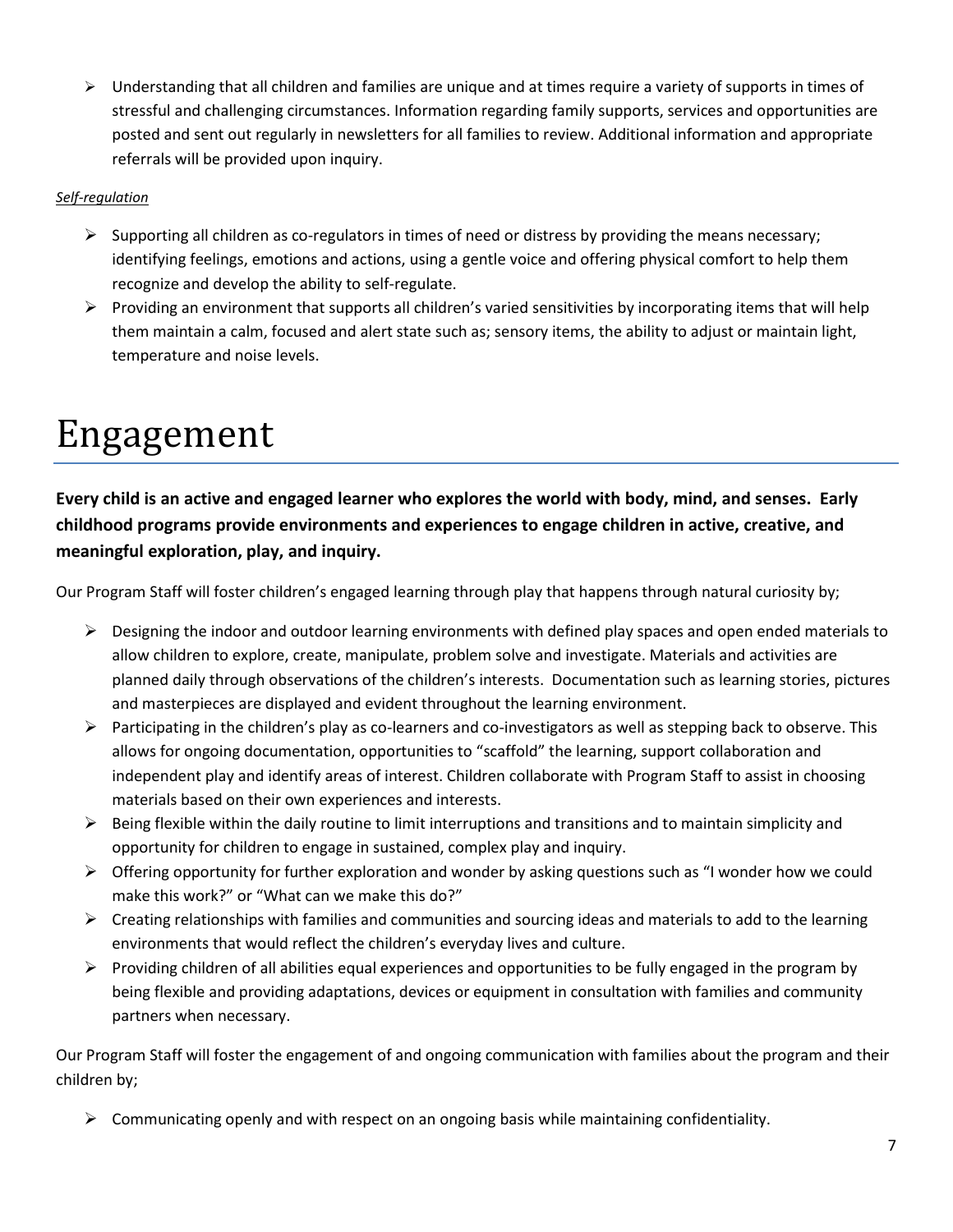$\triangleright$  Understanding that all children and families are unique and at times require a variety of supports in times of stressful and challenging circumstances. Information regarding family supports, services and opportunities are posted and sent out regularly in newsletters for all families to review. Additional information and appropriate referrals will be provided upon inquiry.

#### *Self-regulation*

- $\triangleright$  Supporting all children as co-regulators in times of need or distress by providing the means necessary; identifying feelings, emotions and actions, using a gentle voice and offering physical comfort to help them recognize and develop the ability to self-regulate.
- $\triangleright$  Providing an environment that supports all children's varied sensitivities by incorporating items that will help them maintain a calm, focused and alert state such as; sensory items, the ability to adjust or maintain light, temperature and noise levels.

### Engagement

**Every child is an active and engaged learner who explores the world with body, mind, and senses. Early childhood programs provide environments and experiences to engage children in active, creative, and meaningful exploration, play, and inquiry.**

Our Program Staff will foster children's engaged learning through play that happens through natural curiosity by;

- $\triangleright$  Designing the indoor and outdoor learning environments with defined play spaces and open ended materials to allow children to explore, create, manipulate, problem solve and investigate. Materials and activities are planned daily through observations of the children's interests. Documentation such as learning stories, pictures and masterpieces are displayed and evident throughout the learning environment.
- $\triangleright$  Participating in the children's play as co-learners and co-investigators as well as stepping back to observe. This allows for ongoing documentation, opportunities to "scaffold" the learning, support collaboration and independent play and identify areas of interest. Children collaborate with Program Staff to assist in choosing materials based on their own experiences and interests.
- $\triangleright$  Being flexible within the daily routine to limit interruptions and transitions and to maintain simplicity and opportunity for children to engage in sustained, complex play and inquiry.
- $\triangleright$  Offering opportunity for further exploration and wonder by asking questions such as "I wonder how we could make this work?" or "What can we make this do?"
- $\triangleright$  Creating relationships with families and communities and sourcing ideas and materials to add to the learning environments that would reflect the children's everyday lives and culture.
- $\triangleright$  Providing children of all abilities equal experiences and opportunities to be fully engaged in the program by being flexible and providing adaptations, devices or equipment in consultation with families and community partners when necessary.

Our Program Staff will foster the engagement of and ongoing communication with families about the program and their children by;

 $\triangleright$  Communicating openly and with respect on an ongoing basis while maintaining confidentiality.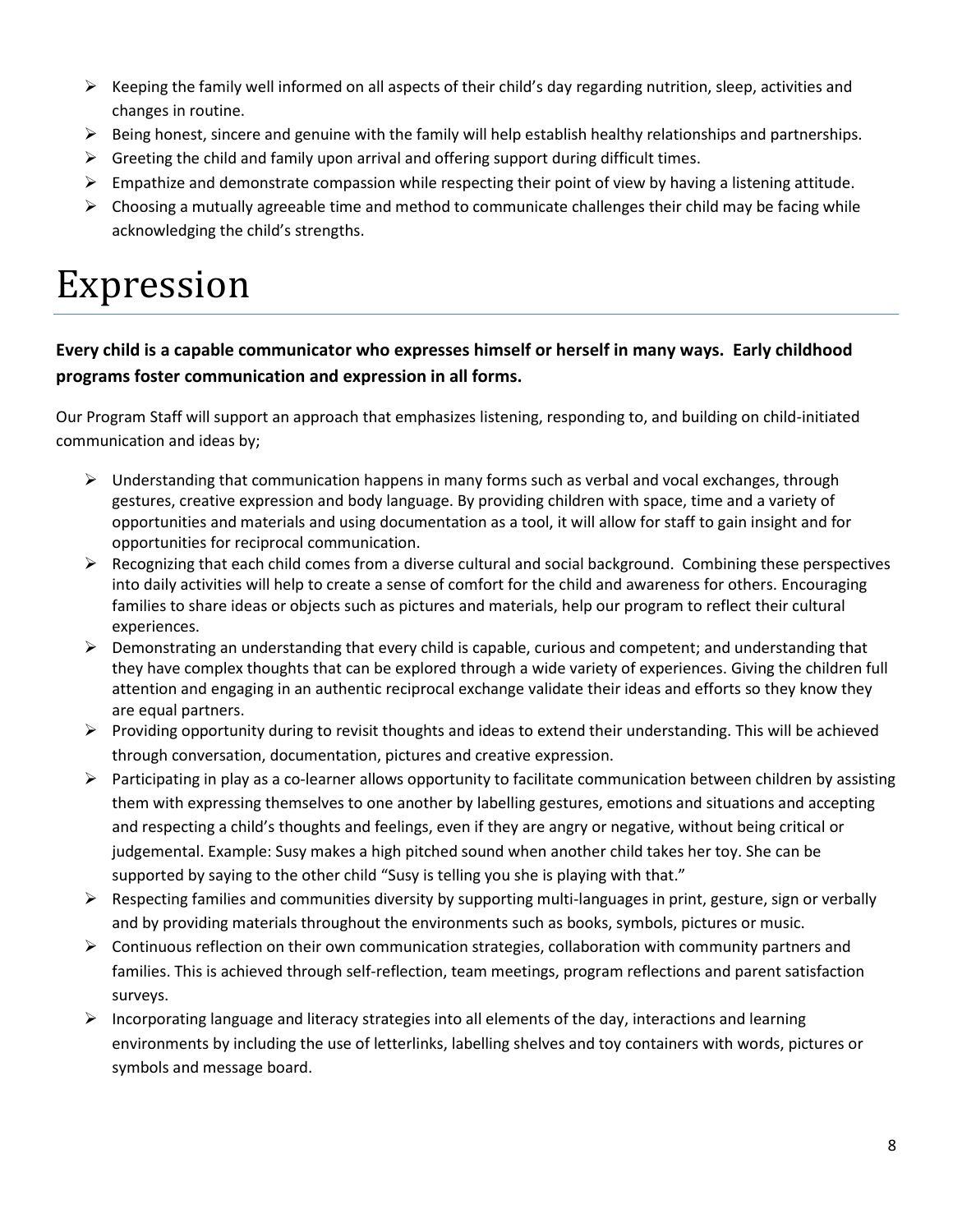- $\triangleright$  Keeping the family well informed on all aspects of their child's day regarding nutrition, sleep, activities and changes in routine.
- $\triangleright$  Being honest, sincere and genuine with the family will help establish healthy relationships and partnerships.
- $\triangleright$  Greeting the child and family upon arrival and offering support during difficult times.
- $\triangleright$  Empathize and demonstrate compassion while respecting their point of view by having a listening attitude.
- $\triangleright$  Choosing a mutually agreeable time and method to communicate challenges their child may be facing while acknowledging the child's strengths.

### Expression

#### **Every child is a capable communicator who expresses himself or herself in many ways. Early childhood programs foster communication and expression in all forms.**

Our Program Staff will support an approach that emphasizes listening, responding to, and building on child-initiated communication and ideas by;

- $\triangleright$  Understanding that communication happens in many forms such as verbal and vocal exchanges, through gestures, creative expression and body language. By providing children with space, time and a variety of opportunities and materials and using documentation as a tool, it will allow for staff to gain insight and for opportunities for reciprocal communication.
- $\triangleright$  Recognizing that each child comes from a diverse cultural and social background. Combining these perspectives into daily activities will help to create a sense of comfort for the child and awareness for others. Encouraging families to share ideas or objects such as pictures and materials, help our program to reflect their cultural experiences.
- $\triangleright$  Demonstrating an understanding that every child is capable, curious and competent; and understanding that they have complex thoughts that can be explored through a wide variety of experiences. Giving the children full attention and engaging in an authentic reciprocal exchange validate their ideas and efforts so they know they are equal partners.
- $\triangleright$  Providing opportunity during to revisit thoughts and ideas to extend their understanding. This will be achieved through conversation, documentation, pictures and creative expression.
- $\triangleright$  Participating in play as a co-learner allows opportunity to facilitate communication between children by assisting them with expressing themselves to one another by labelling gestures, emotions and situations and accepting and respecting a child's thoughts and feelings, even if they are angry or negative, without being critical or judgemental. Example: Susy makes a high pitched sound when another child takes her toy. She can be supported by saying to the other child "Susy is telling you she is playing with that."
- $\triangleright$  Respecting families and communities diversity by supporting multi-languages in print, gesture, sign or verbally and by providing materials throughout the environments such as books, symbols, pictures or music.
- $\triangleright$  Continuous reflection on their own communication strategies, collaboration with community partners and families. This is achieved through self-reflection, team meetings, program reflections and parent satisfaction surveys.
- $\triangleright$  Incorporating language and literacy strategies into all elements of the day, interactions and learning environments by including the use of letterlinks, labelling shelves and toy containers with words, pictures or symbols and message board.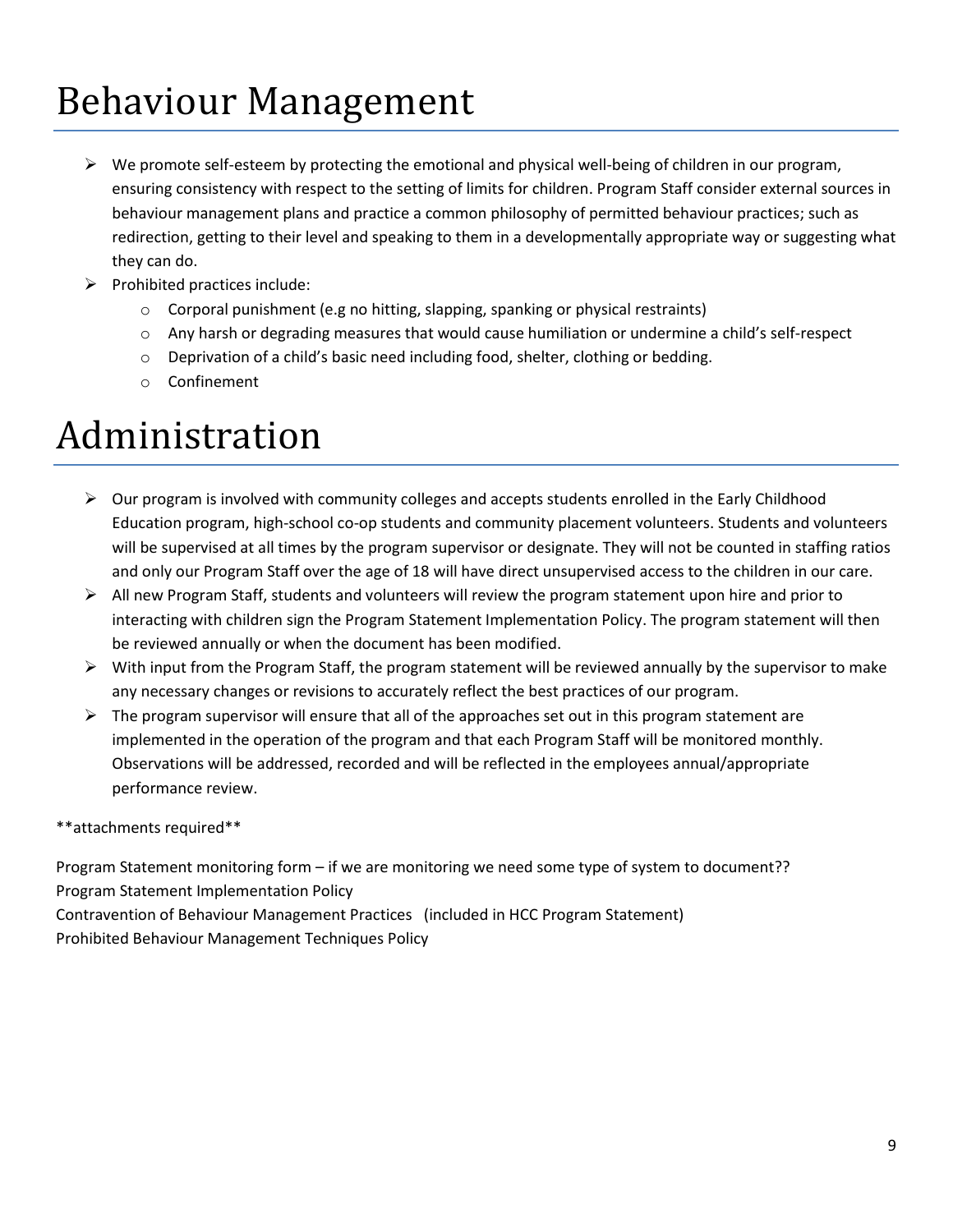### Behaviour Management

- $\triangleright$  We promote self-esteem by protecting the emotional and physical well-being of children in our program, ensuring consistency with respect to the setting of limits for children. Program Staff consider external sources in behaviour management plans and practice a common philosophy of permitted behaviour practices; such as redirection, getting to their level and speaking to them in a developmentally appropriate way or suggesting what they can do.
- $\triangleright$  Prohibited practices include:
	- $\circ$  Corporal punishment (e.g no hitting, slapping, spanking or physical restraints)
	- o Any harsh or degrading measures that would cause humiliation or undermine a child's self-respect
	- o Deprivation of a child's basic need including food, shelter, clothing or bedding.
	- o Confinement

### Administration

- $\triangleright$  Our program is involved with community colleges and accepts students enrolled in the Early Childhood Education program, high-school co-op students and community placement volunteers. Students and volunteers will be supervised at all times by the program supervisor or designate. They will not be counted in staffing ratios and only our Program Staff over the age of 18 will have direct unsupervised access to the children in our care.
- $\triangleright$  All new Program Staff, students and volunteers will review the program statement upon hire and prior to interacting with children sign the Program Statement Implementation Policy. The program statement will then be reviewed annually or when the document has been modified.
- $\triangleright$  With input from the Program Staff, the program statement will be reviewed annually by the supervisor to make any necessary changes or revisions to accurately reflect the best practices of our program.
- $\triangleright$  The program supervisor will ensure that all of the approaches set out in this program statement are implemented in the operation of the program and that each Program Staff will be monitored monthly. Observations will be addressed, recorded and will be reflected in the employees annual/appropriate performance review.

\*\*attachments required\*\*

Program Statement monitoring form – if we are monitoring we need some type of system to document?? Program Statement Implementation Policy

Contravention of Behaviour Management Practices (included in HCC Program Statement) Prohibited Behaviour Management Techniques Policy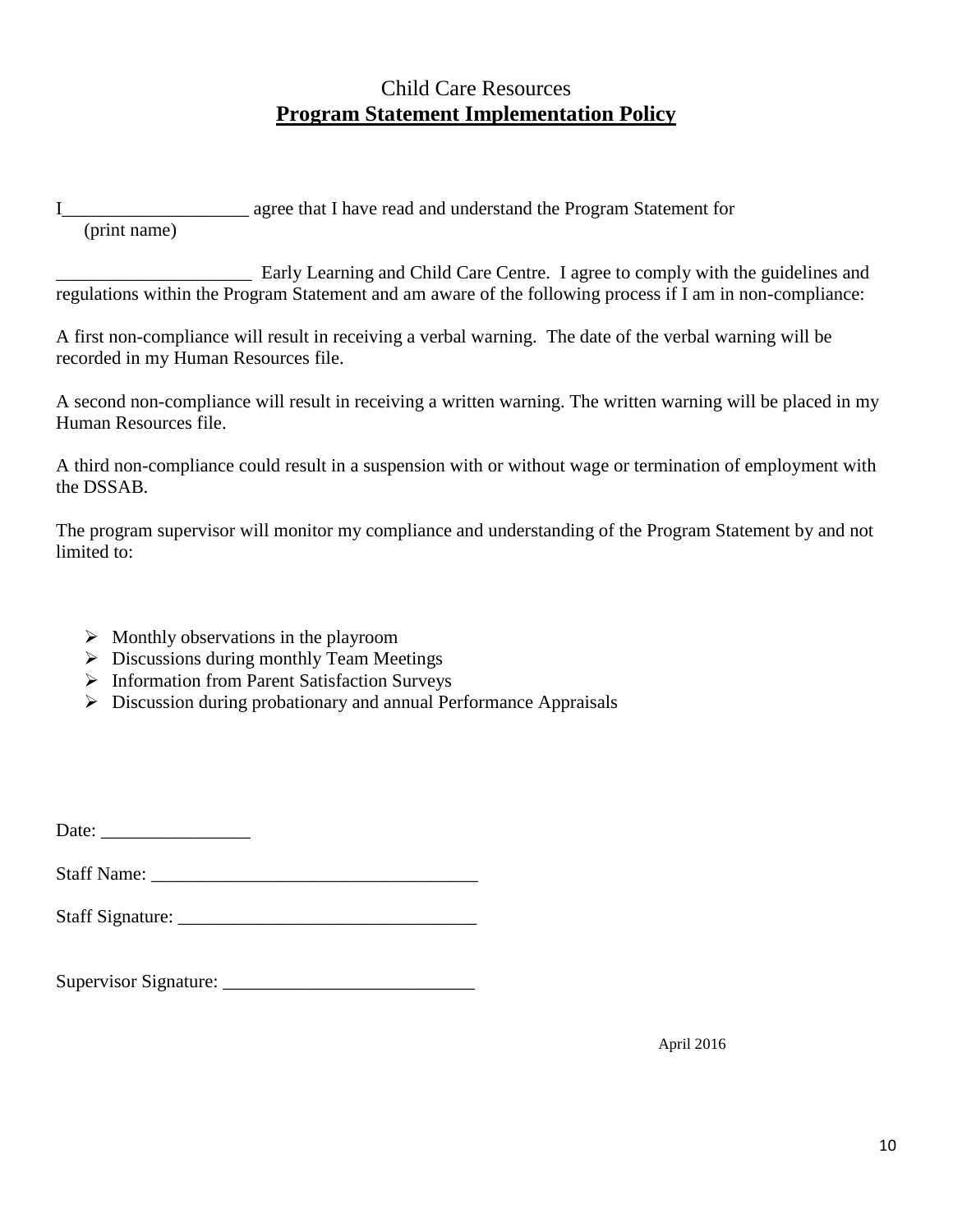#### Child Care Resources **Program Statement Implementation Policy**

I\_\_\_\_\_\_\_\_\_\_\_\_\_\_\_\_\_\_\_\_ agree that I have read and understand the Program Statement for

(print name)

\_\_\_\_\_\_\_\_\_\_\_\_\_\_\_\_\_\_\_\_\_ Early Learning and Child Care Centre. I agree to comply with the guidelines and regulations within the Program Statement and am aware of the following process if I am in non-compliance:

A first non-compliance will result in receiving a verbal warning. The date of the verbal warning will be recorded in my Human Resources file.

A second non-compliance will result in receiving a written warning. The written warning will be placed in my Human Resources file.

A third non-compliance could result in a suspension with or without wage or termination of employment with the DSSAB.

The program supervisor will monitor my compliance and understanding of the Program Statement by and not limited to:

- $\triangleright$  Monthly observations in the playroom
- Discussions during monthly Team Meetings
- > Information from Parent Satisfaction Surveys
- Discussion during probationary and annual Performance Appraisals

Date:

Staff Name:

| <b>Staff Signature:</b> |  |
|-------------------------|--|
|                         |  |

Supervisor Signature: \_\_\_\_\_\_\_\_\_\_\_\_\_\_\_\_\_\_\_\_\_\_\_\_\_\_\_

April 2016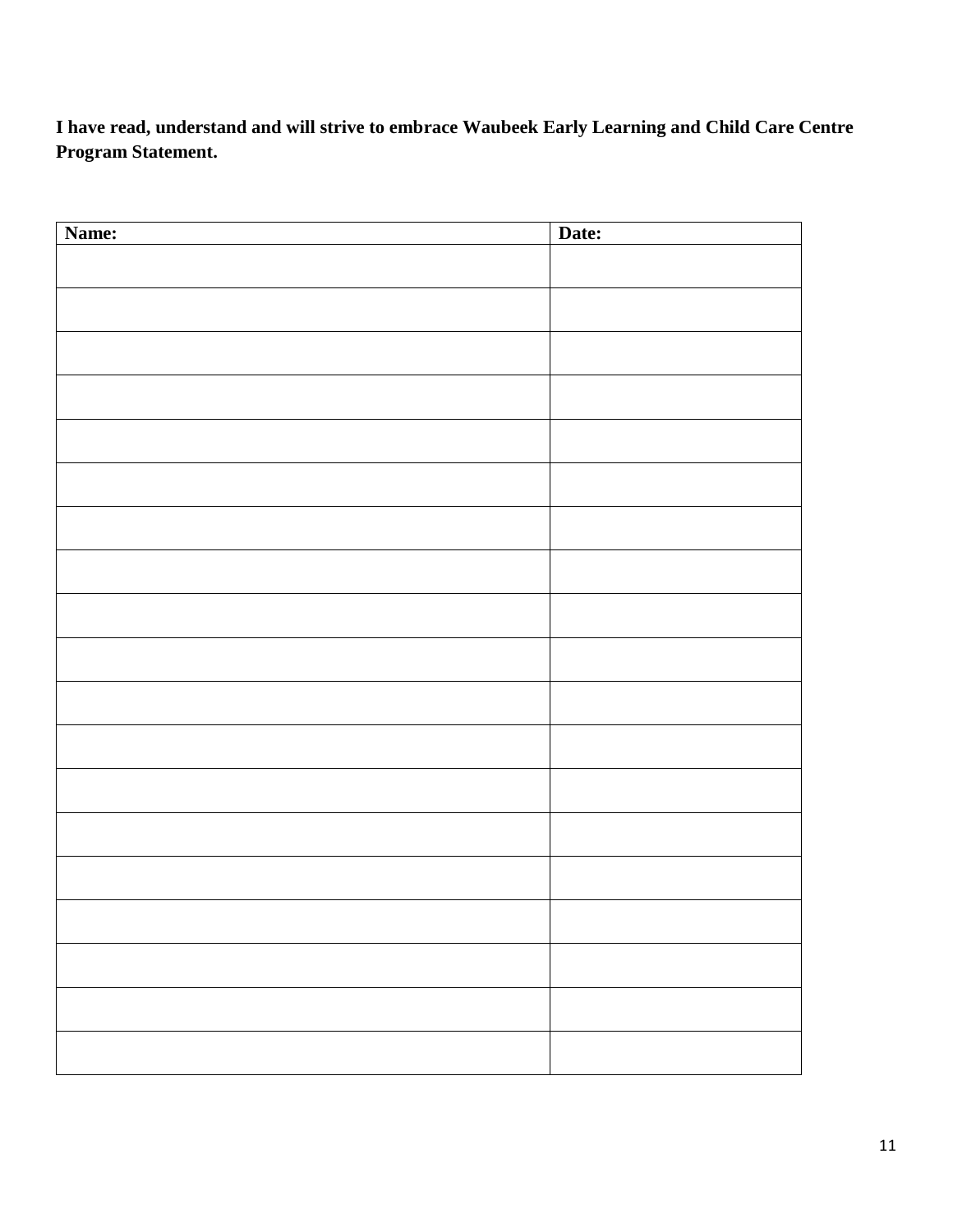**I have read, understand and will strive to embrace Waubeek Early Learning and Child Care Centre Program Statement.**

| Name: | Date: |
|-------|-------|
|       |       |
|       |       |
|       |       |
|       |       |
|       |       |
|       |       |
|       |       |
|       |       |
|       |       |
|       |       |
|       |       |
|       |       |
|       |       |
|       |       |
|       |       |
|       |       |
|       |       |
|       |       |
|       |       |
|       |       |